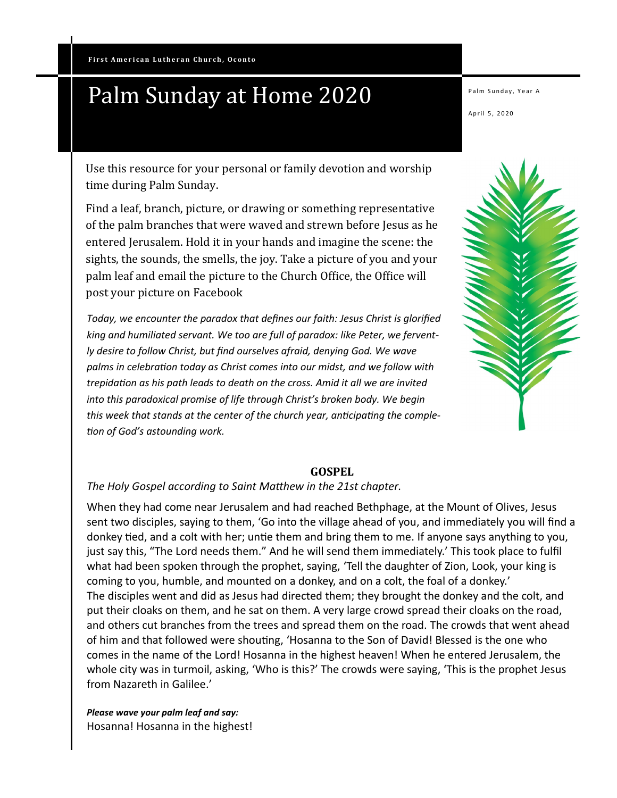# Palm Sunday at Home 2020

Palm Sunday, Year A

April 5, 2020

Use this resource for your personal or family devotion and worship time during Palm Sunday.

Find a leaf, branch, picture, or drawing or something representative of the palm branches that were waved and strewn before Jesus as he entered Jerusalem. Hold it in your hands and imagine the scene: the sights, the sounds, the smells, the joy. Take a picture of you and your palm leaf and email the picture to the Church Office, the Office will post your picture on Facebook

*Today, we encounter the paradox that defines our faith: Jesus Christ is glorified king and humiliated servant. We too are full of paradox: like Peter, we fervently desire to follow Christ, but find ourselves afraid, denying God. We wave palms in celebration today as Christ comes into our midst, and we follow with trepidation as his path leads to death on the cross. Amid it all we are invited into this paradoxical promise of life through Christ's broken body. We begin this week that stands at the center of the church year, anticipating the completion of God's astounding work.*



#### **+ GATHERING + GOSPEL**

The Holy Gospel according to Saint Matthew in the 21st chapter.

*The Holy Gospel according to Saint Matthew in the 21st chapter.* sent two disciples, saying to them, 'Go into the village ahead of you, and immediately you will find a ear the disciples, seying to dising to mean of the Tinego direached, yeaging immediately you thin mixing do the<br>donkey tied, and a colt with her; untie them and bring them to me. If anyone says anything to you, estine, thes, since a set that her, sance areas allegating areas to the mean, since says an, anny to you, just say this, "The Lord needs them." And he will send them immediately.' This took place to fulfil donkey time, the serial research mand bring the me. If any merical term them to see prace to random them to yo<br>what had been spoken through the prophet, saying, 'Tell the daughter of Zion, Look, your king is mediately. The send them. In eagle the propriet, sermally remains designed on fusing seem, your nangle coming to you, humble, and mounted on a donkey, and on a colt, the foal of a donkey.' what had been spoken through the prophet, saying, 'Tell the daughter of Zion, Look, your king is The disciples went and did as Jesus had directed them; they brought the donkey and the colt, and coming to you, and the first or collection on a done them, they are agreement on a donkey one are con, then put their cloaks on them, and he sat on them. A very large crowd spread their cloaks on the road, put them should on them; the result on them; they hange discipled them should on the road, and others cut branches from the trees and spread them on the road. The crowds that went ahead and once our draments nomined those and spread them on the road, the scrowd share rent and that followed were shouting, 'Hosanna to the Son of David! Blessed is the one who and others cut branches from the trees and spread them on the road. The crowds that went ahead comes in the name of the Lord! Hosanna in the highest heaven! When he entered Jerusalem, the  $\frac{1}{2}$  him and the followed were shown to the magnetic measure shown to the son of David is the original to the one who is the one who is the one who is the one who is the one who is the one who is the one who is the o comes any mas in tannon, asimg, these these messes in the suppliers in the propression.<br>from Nazarath in Galilee ' whole city was in turnoil, asking, 'Who is this is this is this is this is the prophet Jesus were saying, 'This is the prophet Jesus were saying, 'This is the prophet Jesus were saying, 'This is the prophet Jesus were sayi When they had come near Jerusalem and had reached Bethphage, at the Mount of Olives, Jesus whole city was in turmoil, asking, 'Who is this?' The crowds were saying, 'This is the prophet Jesus from Nazareth in Galilee.'

*Please wave your palm leaf and say:* Hosanna! Hosanna in the highest!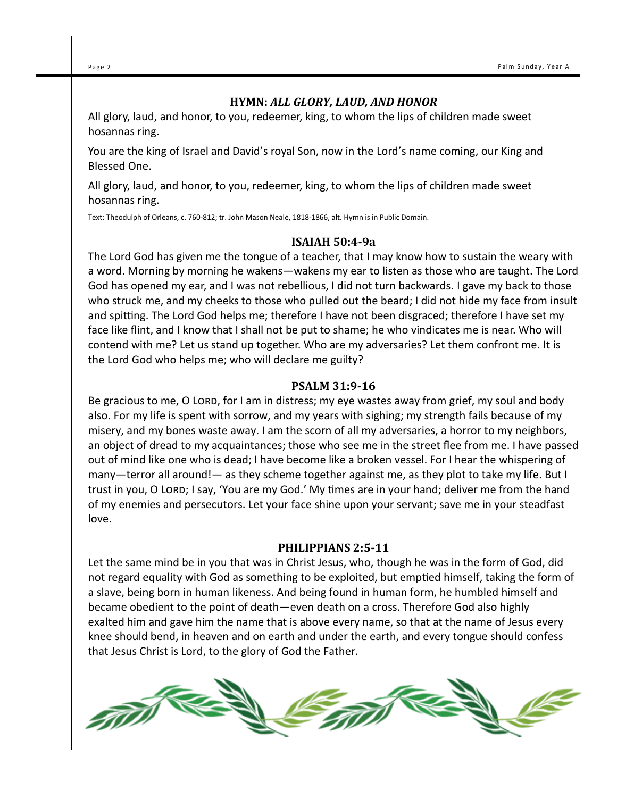# **HYMN:** *ALL GLORY, LAUD, AND HONOR*

All glory, laud, and honor, to you, redeemer, king, to whom the lips of children made sweet hosannas ring.

You are the king of Israel and David's royal Son, now in the Lord's name coming, our King and Blessed One.

All glory, laud, and honor, to you, redeemer, king, to whom the lips of children made sweet hosannas ring.

Text: Theodulph of Orleans, c. 760-812; tr. John Mason Neale, 1818-1866, alt. Hymn is in Public Domain.

### **ISAIAH 50:4-9a**

contend with me? Let us stand up together. Who are my adversaries? Let them confront me. It is The Lord God has given me the tongue of a teacher, that I may know how to sustain the weary with a word. Morning by morning he wakens—wakens my ear to listen as those who are taught. The Lord God has opened my ear, and I was not rebellious, I did not turn backwards. I gave my back to those who struck me, and my cheeks to those who pulled out the beard; I did not hide my face from insult and spitting. The Lord God helps me; therefore I have not been disgraced; therefore I have set my face like flint, and I know that I shall not be put to shame; he who vindicates me is near. Who will the Lord God who helps me; who will declare me guilty?

#### **PSALM 31:9-16**

Be gracious to me, O LORD, for I am in distress; my eye wastes away from grief, my soul and body also. For my life is spent with sorrow, and my years with sighing; my strength fails because of my misery, and my bones waste away. I am the scorn of all my adversaries, a horror to my neighbors, an object of dread to my acquaintances; those who see me in the street flee from me. I have passed out of mind like one who is dead; I have become like a broken vessel. For I hear the whispering of many—terror all around!— as they scheme together against me, as they plot to take my life. But I trust in you, O LORD; I say, 'You are my God.' My times are in your hand; deliver me from the hand of my enemies and persecutors. Let your face shine upon your servant; save me in your steadfast love.

#### **PHILIPPIANS 2:5-11**

Let the same mind be in you that was in Christ Jesus, who, though he was in the form of God, did not regard equality with God as something to be exploited, but emptied himself, taking the form of a slave, being born in human likeness. And being found in human form, he humbled himself and became obedient to the point of death—even death on a cross. Therefore God also highly exalted him and gave him the name that is above every name, so that at the name of Jesus every knee should bend, in heaven and on earth and under the earth, and every tongue should confess that Jesus Christ is Lord, to the glory of God the Father.

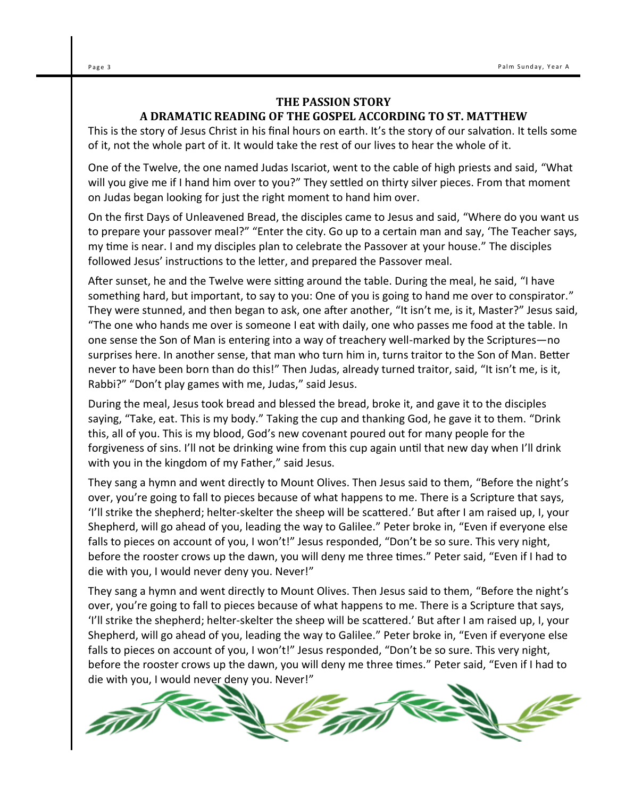# **THE PASSION STORY**

# **A DRAMATIC READING OF THE GOSPEL ACCORDING TO ST. MATTHEW**

This is the story of Jesus Christ in his final hours on earth. It's the story of our salvation. It tells some of it, not the whole part of it. It would take the rest of our lives to hear the whole of it.

One of the Twelve, the one named Judas Iscariot, went to the cable of high priests and said, "What will you give me if I hand him over to you?" They settled on thirty silver pieces. From that moment on Judas began looking for just the right moment to hand him over.

On the first Days of Unleavened Bread, the disciples came to Jesus and said, "Where do you want us to prepare your passover meal?" "Enter the city. Go up to a certain man and say, 'The Teacher says, my time is near. I and my disciples plan to celebrate the Passover at your house." The disciples followed Jesus' instructions to the letter, and prepared the Passover meal.

surprises here. In another sense, that man who turn him in, turns traitor to the Son of Man. Better After sunset, he and the Twelve were sitting around the table. During the meal, he said, "I have something hard, but important, to say to you: One of you is going to hand me over to conspirator." They were stunned, and then began to ask, one after another, "It isn't me, is it, Master?" Jesus said, "The one who hands me over is someone I eat with daily, one who passes me food at the table. In one sense the Son of Man is entering into a way of treachery well-marked by the Scriptures—no never to have been born than do this!" Then Judas, already turned traitor, said, "It isn't me, is it, Rabbi?" "Don't play games with me, Judas," said Jesus.

During the meal, Jesus took bread and blessed the bread, broke it, and gave it to the disciples saying, "Take, eat. This is my body." Taking the cup and thanking God, he gave it to them. "Drink this, all of you. This is my blood, God's new covenant poured out for many people for the forgiveness of sins. I'll not be drinking wine from this cup again until that new day when I'll drink with you in the kingdom of my Father," said Jesus.

They sang a hymn and went directly to Mount Olives. Then Jesus said to them, "Before the night's over, you're going to fall to pieces because of what happens to me. There is a Scripture that says, 'I'll strike the shepherd; helter-skelter the sheep will be scattered.' But after I am raised up, I, your Shepherd, will go ahead of you, leading the way to Galilee." Peter broke in, "Even if everyone else falls to pieces on account of you, I won't!" Jesus responded, "Don't be so sure. This very night, before the rooster crows up the dawn, you will deny me three times." Peter said, "Even if I had to die with you, I would never deny you. Never!"

They sang a hymn and went directly to Mount Olives. Then Jesus said to them, "Before the night's over, you're going to fall to pieces because of what happens to me. There is a Scripture that says, 'I'll strike the shepherd; helter-skelter the sheep will be scattered.' But after I am raised up, I, your Shepherd, will go ahead of you, leading the way to Galilee." Peter broke in, "Even if everyone else falls to pieces on account of you, I won't!" Jesus responded, "Don't be so sure. This very night, before the rooster crows up the dawn, you will deny me three times." Peter said, "Even if I had to die with you, I would never deny you. Never!"

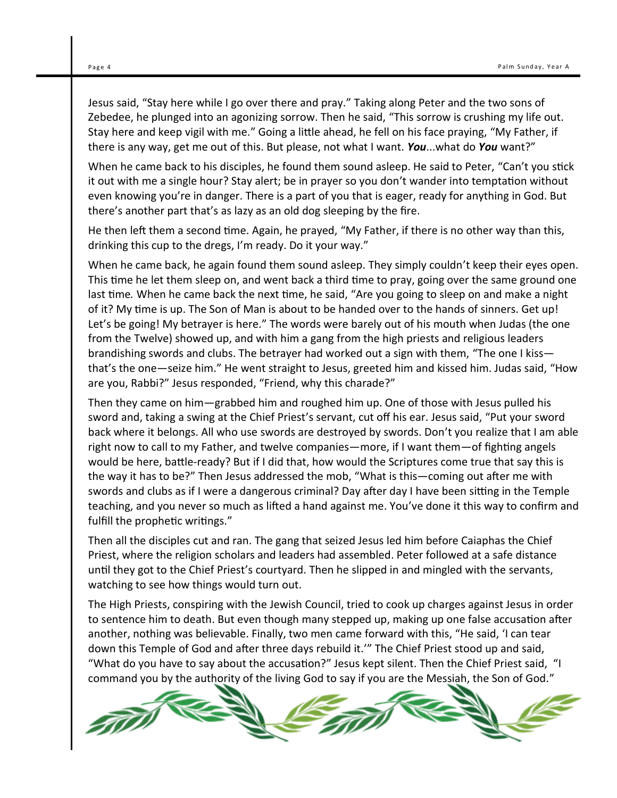Jesus said, "Stay here while I go over there and pray." Taking along Peter and the two sons of Zebedee, he plunged into an agonizing sorrow. Then he said, "This sorrow is crushing my life out. Stay here and keep vigil with me." Going a little ahead, he fell on his face praying, "My Father, if there is any way, get me out of this. But please, not what I want. *You*...what do *You* want?"

When he came back to his disciples, he found them sound asleep. He said to Peter, "Can't you stick it out with me a single hour? Stay alert; be in prayer so you don't wander into temptation without even knowing you're in danger. There is a part of you that is eager, ready for anything in God. But there's another part that's as lazy as an old dog sleeping by the fire.

He then left them a second time. Again, he prayed, "My Father, if there is no other way than this, drinking this cup to the dregs, I'm ready. Do it your way."

brandishing swords and clubs. The betrayer had worked out a sign with them, "The one I kiss— When he came back, he again found them sound asleep. They simply couldn't keep their eyes open. This time he let them sleep on, and went back a third time to pray, going over the same ground one last time*.* When he came back the next time, he said, "Are you going to sleep on and make a night of it? My time is up. The Son of Man is about to be handed over to the hands of sinners. Get up! Let's be going! My betrayer is here." The words were barely out of his mouth when Judas (the one from the Twelve) showed up, and with him a gang from the high priests and religious leaders that's the one—seize him." He went straight to Jesus, greeted him and kissed him. Judas said, "How are you, Rabbi?" Jesus responded, "Friend, why this charade?"

Then they came on him—grabbed him and roughed him up. One of those with Jesus pulled his sword and, taking a swing at the Chief Priest's servant, cut off his ear. Jesus said, "Put your sword back where it belongs. All who use swords are destroyed by swords. Don't you realize that I am able right now to call to my Father, and twelve companies—more, if I want them—of fighting angels would be here, battle-ready? But if I did that, how would the Scriptures come true that say this is the way it has to be?" Then Jesus addressed the mob, "What is this—coming out after me with swords and clubs as if I were a dangerous criminal? Day after day I have been sitting in the Temple teaching, and you never so much as lifted a hand against me. You've done it this way to confirm and fulfill the prophetic writings."

Then all the disciples cut and ran. The gang that seized Jesus led him before Caiaphas the Chief Priest, where the religion scholars and leaders had assembled. Peter followed at a safe distance until they got to the Chief Priest's courtyard. Then he slipped in and mingled with the servants, watching to see how things would turn out.

The High Priests, conspiring with the Jewish Council, tried to cook up charges against Jesus in order to sentence him to death. But even though many stepped up, making up one false accusation after another, nothing was believable. Finally, two men came forward with this, "He said, 'I can tear down this Temple of God and after three days rebuild it.'" The Chief Priest stood up and said, "What do you have to say about the accusation?" Jesus kept silent. Then the Chief Priest said, "I command you by the authority of the living God to say if you are the Messiah, the Son of God."

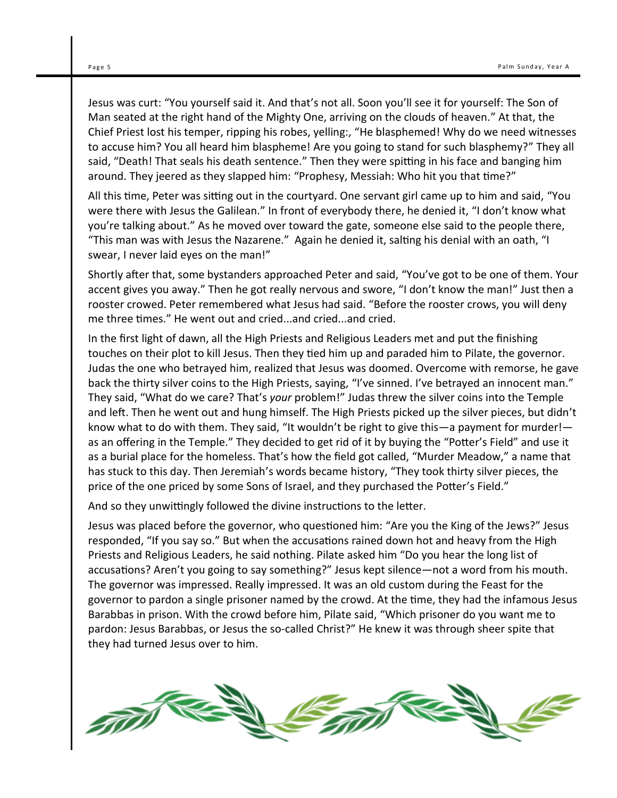Jesus was curt: "You yourself said it. And that's not all. Soon you'll see it for yourself: The Son of Man seated at the right hand of the Mighty One, arriving on the clouds of heaven." At that, the Chief Priest lost his temper, ripping his robes, yelling:, "He blasphemed! Why do we need witnesses to accuse him? You all heard him blaspheme! Are you going to stand for such blasphemy?" They all said, "Death! That seals his death sentence." Then they were spitting in his face and banging him around. They jeered as they slapped him: "Prophesy, Messiah: Who hit you that time?"

All this time, Peter was sitting out in the courtyard. One servant girl came up to him and said, "You were there with Jesus the Galilean." In front of everybody there, he denied it, "I don't know what you're talking about." As he moved over toward the gate, someone else said to the people there, "This man was with Jesus the Nazarene." Again he denied it, salting his denial with an oath, "I swear, I never laid eyes on the man!"

Shortly after that, some bystanders approached Peter and said, "You've got to be one of them. Your accent gives you away." Then he got really nervous and swore, "I don't know the man!" Just then a rooster crowed. Peter remembered what Jesus had said. "Before the rooster crows, you will deny me three times." He went out and cried...and cried...and cried.

touches on their plot to kill Jesus. Then they tied him up and paraded him to Pilate, the governor. In the first light of dawn, all the High Priests and Religious Leaders met and put the finishing Judas the one who betrayed him, realized that Jesus was doomed. Overcome with remorse, he gave back the thirty silver coins to the High Priests, saying, "I've sinned. I've betrayed an innocent man." They said, "What do we care? That's *your* problem!" Judas threw the silver coins into the Temple and left. Then he went out and hung himself. The High Priests picked up the silver pieces, but didn't know what to do with them. They said, "It wouldn't be right to give this—a payment for murder! as an offering in the Temple." They decided to get rid of it by buying the "Potter's Field" and use it as a burial place for the homeless. That's how the field got called, "Murder Meadow," a name that has stuck to this day. Then Jeremiah's words became history, "They took thirty silver pieces, the price of the one priced by some Sons of Israel, and they purchased the Potter's Field."

And so they unwittingly followed the divine instructions to the letter.

Jesus was placed before the governor, who questioned him: "Are you the King of the Jews?" Jesus responded, "If you say so." But when the accusations rained down hot and heavy from the High Priests and Religious Leaders, he said nothing. Pilate asked him "Do you hear the long list of accusations? Aren't you going to say something?" Jesus kept silence—not a word from his mouth. The governor was impressed. Really impressed. It was an old custom during the Feast for the governor to pardon a single prisoner named by the crowd. At the time, they had the infamous Jesus Barabbas in prison. With the crowd before him, Pilate said, "Which prisoner do you want me to pardon: Jesus Barabbas, or Jesus the so-called Christ?" He knew it was through sheer spite that they had turned Jesus over to him.

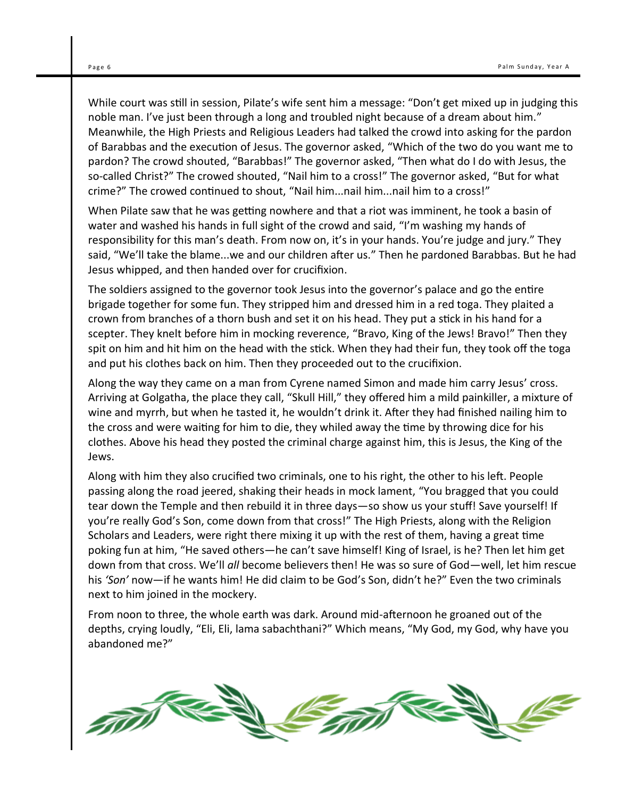While court was still in session, Pilate's wife sent him a message: "Don't get mixed up in judging this noble man. I've just been through a long and troubled night because of a dream about him." Meanwhile, the High Priests and Religious Leaders had talked the crowd into asking for the pardon of Barabbas and the execution of Jesus. The governor asked, "Which of the two do you want me to pardon? The crowd shouted, "Barabbas!" The governor asked, "Then what do I do with Jesus, the so-called Christ?" The crowed shouted, "Nail him to a cross!" The governor asked, "But for what crime?" The crowed continued to shout, "Nail him...nail him...nail him to a cross!"

When Pilate saw that he was getting nowhere and that a riot was imminent, he took a basin of water and washed his hands in full sight of the crowd and said, "I'm washing my hands of responsibility for this man's death. From now on, it's in your hands. You're judge and jury." They said, "We'll take the blame...we and our children after us." Then he pardoned Barabbas. But he had Jesus whipped, and then handed over for crucifixion.

spit on him and hit him on the head with the stick. When they had their fun, they took off the toga The soldiers assigned to the governor took Jesus into the governor's palace and go the entire brigade together for some fun. They stripped him and dressed him in a red toga. They plaited a crown from branches of a thorn bush and set it on his head. They put a stick in his hand for a scepter. They knelt before him in mocking reverence, "Bravo, King of the Jews! Bravo!" Then they and put his clothes back on him. Then they proceeded out to the crucifixion.

Along the way they came on a man from Cyrene named Simon and made him carry Jesus' cross. Arriving at Golgatha, the place they call, "Skull Hill," they offered him a mild painkiller, a mixture of wine and myrrh, but when he tasted it, he wouldn't drink it. After they had finished nailing him to the cross and were waiting for him to die, they whiled away the time by throwing dice for his clothes. Above his head they posted the criminal charge against him, this is Jesus, the King of the Jews.

Along with him they also crucified two criminals, one to his right, the other to his left. People passing along the road jeered, shaking their heads in mock lament, "You bragged that you could tear down the Temple and then rebuild it in three days—so show us your stuff! Save yourself! If you're really God's Son, come down from that cross!" The High Priests, along with the Religion Scholars and Leaders, were right there mixing it up with the rest of them, having a great time poking fun at him, "He saved others—he can't save himself! King of Israel, is he? Then let him get down from that cross. We'll *all* become believers then! He was so sure of God—well, let him rescue his *'Son'* now—if he wants him! He did claim to be God's Son, didn't he?" Even the two criminals next to him joined in the mockery.

From noon to three, the whole earth was dark. Around mid-afternoon he groaned out of the depths, crying loudly, "Eli, Eli, lama sabachthani?" Which means, "My God, my God, why have you abandoned me?"

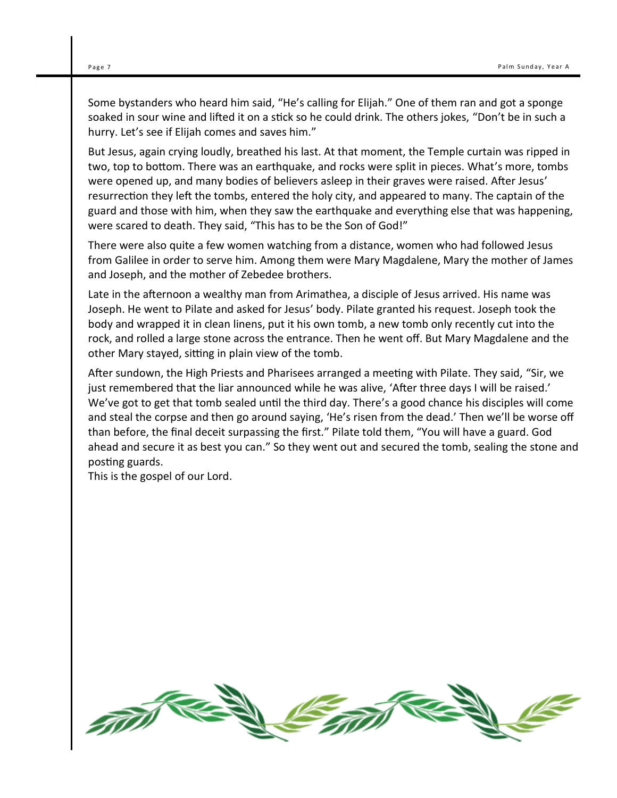Some bystanders who heard him said, "He's calling for Elijah." One of them ran and got a sponge soaked in sour wine and lifted it on a stick so he could drink. The others jokes, "Don't be in such a hurry. Let's see if Elijah comes and saves him."

But Jesus, again crying loudly, breathed his last. At that moment, the Temple curtain was ripped in two, top to bottom. There was an earthquake, and rocks were split in pieces. What's more, tombs were opened up, and many bodies of believers asleep in their graves were raised. After Jesus' resurrection they left the tombs, entered the holy city, and appeared to many. The captain of the guard and those with him, when they saw the earthquake and everything else that was happening, were scared to death. They said, "This has to be the Son of God!"

There were also quite a few women watching from a distance, women who had followed Jesus from Galilee in order to serve him. Among them were Mary Magdalene, Mary the mother of James and Joseph, and the mother of Zebedee brothers.

other Mary stayed, sitting in plain view of the tomb. Late in the afternoon a wealthy man from Arimathea, a disciple of Jesus arrived. His name was Joseph. He went to Pilate and asked for Jesus' body. Pilate granted his request. Joseph took the body and wrapped it in clean linens, put it his own tomb, a new tomb only recently cut into the rock, and rolled a large stone across the entrance. Then he went off. But Mary Magdalene and the

After sundown, the High Priests and Pharisees arranged a meeting with Pilate. They said, "Sir, we just remembered that the liar announced while he was alive, 'After three days I will be raised.' We've got to get that tomb sealed until the third day. There's a good chance his disciples will come and steal the corpse and then go around saying, 'He's risen from the dead.' Then we'll be worse off than before, the final deceit surpassing the first." Pilate told them, "You will have a guard. God ahead and secure it as best you can." So they went out and secured the tomb, sealing the stone and posting guards.

This is the gospel of our Lord.